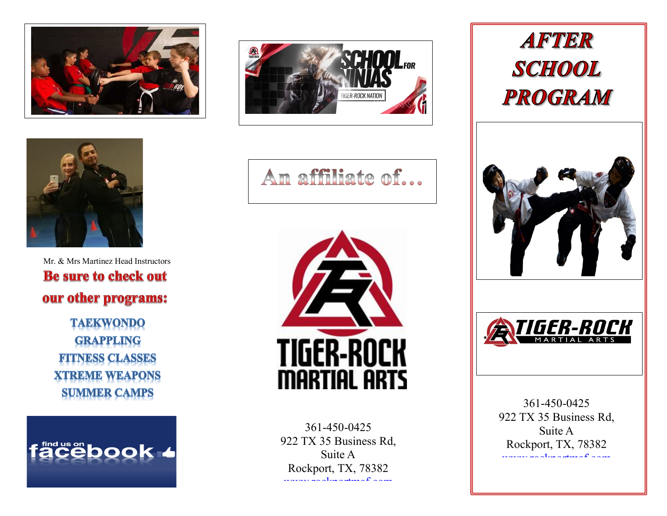



 Mr. & Mrs Martinez Head Instructors **Be sure to check out** our other programs:

**TAEKWONDO GRAPPLING FITNESS CLASSES XTREME WEAPONS SUMMER CAMPS** 

**acebook 4** 



An affiliate of...



361-450-0425 922 TX 35 Business Rd, Suite A Rockport, TX, 78382 www.complete.com

# **AFTER SCHOOL PROGRAM**





361-450-0425 922 TX 35 Business Rd, Suite A Rockport, TX, 78382 [www rockportmaf com](http://www.rockportmaf.com/)